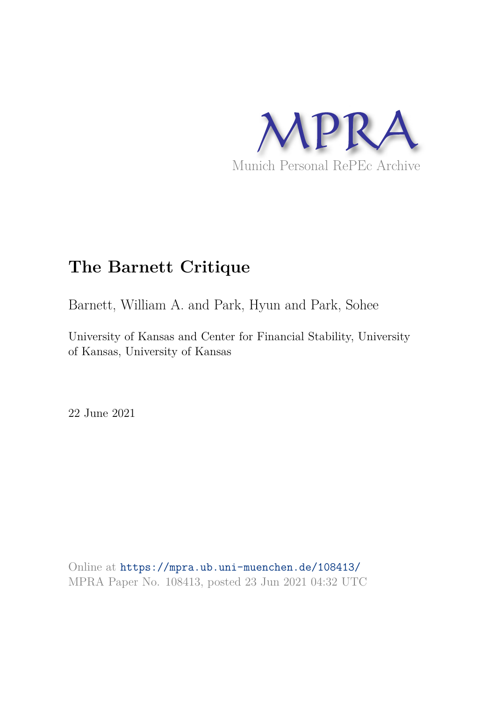

# **The Barnett Critique**

Barnett, William A. and Park, Hyun and Park, Sohee

University of Kansas and Center for Financial Stability, University of Kansas, University of Kansas

22 June 2021

Online at https://mpra.ub.uni-muenchen.de/108413/ MPRA Paper No. 108413, posted 23 Jun 2021 04:32 UTC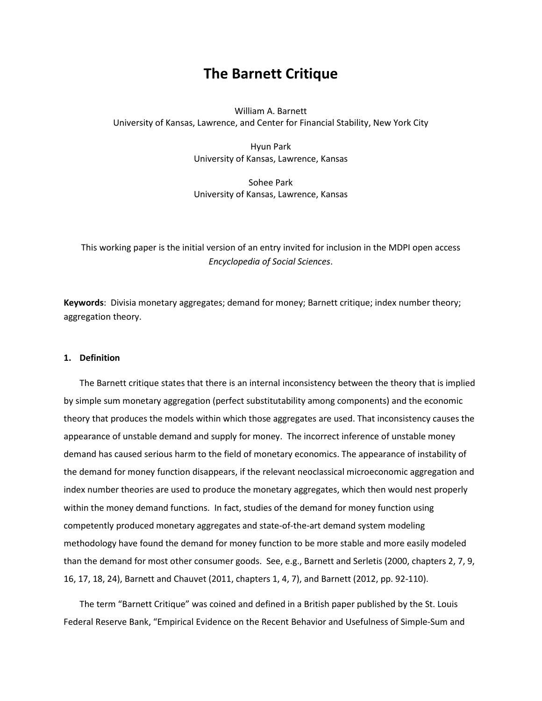# **The Barnett Critique**

William A. Barnett University of Kansas, Lawrence, and Center for Financial Stability, New York City

> Hyun Park University of Kansas, Lawrence, Kansas

> Sohee Park University of Kansas, Lawrence, Kansas

This working paper is the initial version of an entry invited for inclusion in the MDPI open access *Encyclopedia of Social Sciences*.

**Keywords**: Divisia monetary aggregates; demand for money; Barnett critique; index number theory; aggregation theory.

# **1. Definition**

The Barnett critique states that there is an internal inconsistency between the theory that is implied by simple sum monetary aggregation (perfect substitutability among components) and the economic theory that produces the models within which those aggregates are used. That inconsistency causes the appearance of unstable demand and supply for money. The incorrect inference of unstable money demand has caused serious harm to the field of monetary economics. The appearance of instability of the demand for money function disappears, if the relevant neoclassical microeconomic aggregation and index number theories are used to produce the monetary aggregates, which then would nest properly within the money demand functions. In fact, studies of the demand for money function using competently produced monetary aggregates and state-of-the-art demand system modeling methodology have found the demand for money function to be more stable and more easily modeled than the demand for most other consumer goods. See, e.g., Barnett and Serletis (2000, chapters 2, 7, 9, 16, 17, 18, 24), Barnett and Chauvet (2011, chapters 1, 4, 7), and Barnett (2012, pp. 92-110).

The term "Barnett Critique" was coined and defined in a British paper published by the St. Louis Federal Reserve Bank, "Empirical Evidence on the Recent Behavior and Usefulness of Simple-Sum and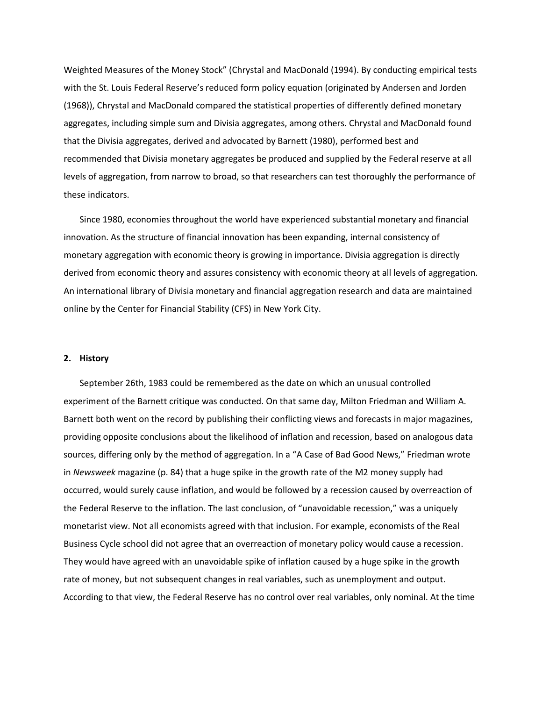Weighted Measures of the Money Stock" (Chrystal and MacDonald (1994). By conducting empirical tests with the St. Louis Federal Reserve's reduced form policy equation (originated by Andersen and Jorden (1968)), Chrystal and MacDonald compared the statistical properties of differently defined monetary aggregates, including simple sum and Divisia aggregates, among others. Chrystal and MacDonald found that the Divisia aggregates, derived and advocated by Barnett (1980), performed best and recommended that Divisia monetary aggregates be produced and supplied by the Federal reserve at all levels of aggregation, from narrow to broad, so that researchers can test thoroughly the performance of these indicators.

Since 1980, economies throughout the world have experienced substantial monetary and financial innovation. As the structure of financial innovation has been expanding, internal consistency of monetary aggregation with economic theory is growing in importance. Divisia aggregation is directly derived from economic theory and assures consistency with economic theory at all levels of aggregation. An international library of Divisia monetary and financial aggregation research and data are maintained online by the Center for Financial Stability (CFS) in New York City.

#### **2. History**

September 26th, 1983 could be remembered as the date on which an unusual controlled experiment of the Barnett critique was conducted. On that same day, Milton Friedman and William A. Barnett both went on the record by publishing their conflicting views and forecasts in major magazines, providing opposite conclusions about the likelihood of inflation and recession, based on analogous data sources, differing only by the method of aggregation. In a "A Case of Bad Good News," Friedman wrote in *Newsweek* magazine (p. 84) that a huge spike in the growth rate of the M2 money supply had occurred, would surely cause inflation, and would be followed by a recession caused by overreaction of the Federal Reserve to the inflation. The last conclusion, of "unavoidable recession," was a uniquely monetarist view. Not all economists agreed with that inclusion. For example, economists of the Real Business Cycle school did not agree that an overreaction of monetary policy would cause a recession. They would have agreed with an unavoidable spike of inflation caused by a huge spike in the growth rate of money, but not subsequent changes in real variables, such as unemployment and output. According to that view, the Federal Reserve has no control over real variables, only nominal. At the time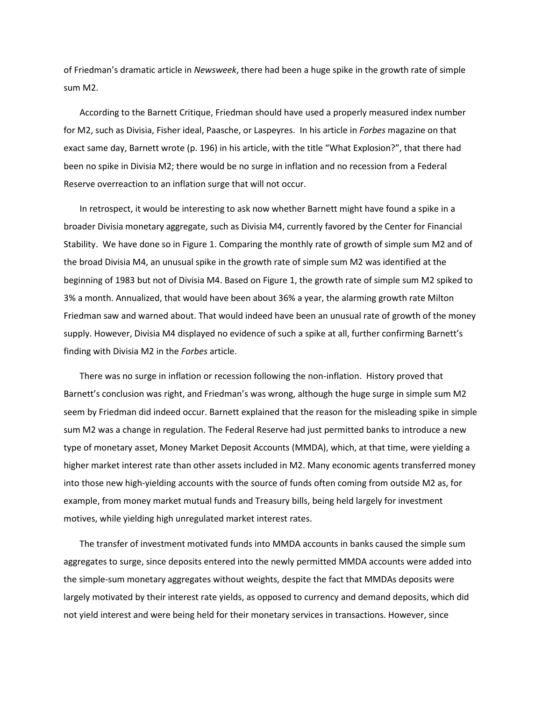of Friedman's dramatic article in *Newsweek*, there had been a huge spike in the growth rate of simple sum M2.

According to the Barnett Critique, Friedman should have used a properly measured index number for M2, such as Divisia, Fisher ideal, Paasche, or Laspeyres. In his article in *Forbes* magazine on that exact same day, Barnett wrote (p. 196) in his article, with the title "What Explosion?", that there had been no spike in Divisia M2; there would be no surge in inflation and no recession from a Federal Reserve overreaction to an inflation surge that will not occur.

In retrospect, it would be interesting to ask now whether Barnett might have found a spike in a broader Divisia monetary aggregate, such as Divisia M4, currently favored by the Center for Financial Stability. We have done so in Figure 1. Comparing the monthly rate of growth of simple sum M2 and of the broad Divisia M4, an unusual spike in the growth rate of simple sum M2 was identified at the beginning of 1983 but not of Divisia M4. Based on Figure 1, the growth rate of simple sum M2 spiked to 3% a month. Annualized, that would have been about 36% a year, the alarming growth rate Milton Friedman saw and warned about. That would indeed have been an unusual rate of growth of the money supply. However, Divisia M4 displayed no evidence of such a spike at all, further confirming Barnett's finding with Divisia M2 in the *Forbes* article.

There was no surge in inflation or recession following the non-inflation. History proved that Barnett's conclusion was right, and Friedman's was wrong, although the huge surge in simple sum M2 seem by Friedman did indeed occur. Barnett explained that the reason for the misleading spike in simple sum M2 was a change in regulation. The Federal Reserve had just permitted banks to introduce a new type of monetary asset, Money Market Deposit Accounts (MMDA), which, at that time, were yielding a higher market interest rate than other assets included in M2. Many economic agents transferred money into those new high-yielding accounts with the source of funds often coming from outside M2 as, for example, from money market mutual funds and Treasury bills, being held largely for investment motives, while yielding high unregulated market interest rates.

The transfer of investment motivated funds into MMDA accounts in banks caused the simple sum aggregates to surge, since deposits entered into the newly permitted MMDA accounts were added into the simple-sum monetary aggregates without weights, despite the fact that MMDAs deposits were largely motivated by their interest rate yields, as opposed to currency and demand deposits, which did not yield interest and were being held for their monetary services in transactions. However, since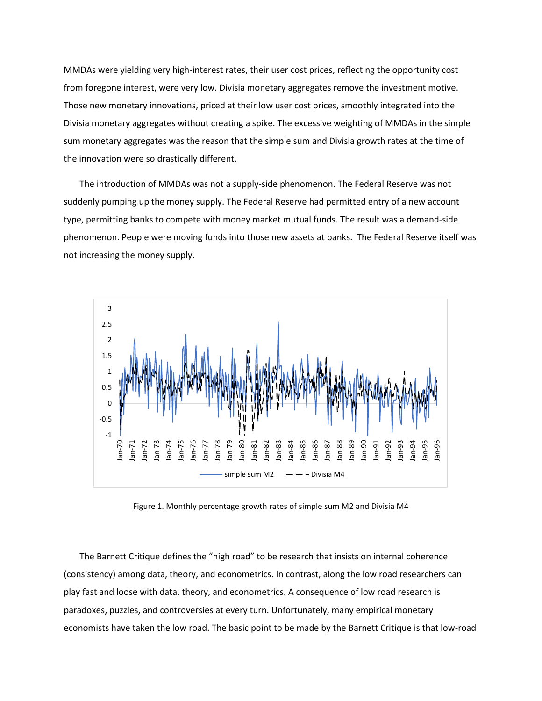MMDAs were yielding very high-interest rates, their user cost prices, reflecting the opportunity cost from foregone interest, were very low. Divisia monetary aggregates remove the investment motive. Those new monetary innovations, priced at their low user cost prices, smoothly integrated into the Divisia monetary aggregates without creating a spike. The excessive weighting of MMDAs in the simple sum monetary aggregates was the reason that the simple sum and Divisia growth rates at the time of the innovation were so drastically different.

The introduction of MMDAs was not a supply-side phenomenon. The Federal Reserve was not suddenly pumping up the money supply. The Federal Reserve had permitted entry of a new account type, permitting banks to compete with money market mutual funds. The result was a demand-side phenomenon. People were moving funds into those new assets at banks. The Federal Reserve itself was not increasing the money supply.



Figure 1. Monthly percentage growth rates of simple sum M2 and Divisia M4

The Barnett Critique defines the "high road" to be research that insists on internal coherence (consistency) among data, theory, and econometrics. In contrast, along the low road researchers can play fast and loose with data, theory, and econometrics. A consequence of low road research is paradoxes, puzzles, and controversies at every turn. Unfortunately, many empirical monetary economists have taken the low road. The basic point to be made by the Barnett Critique is that low-road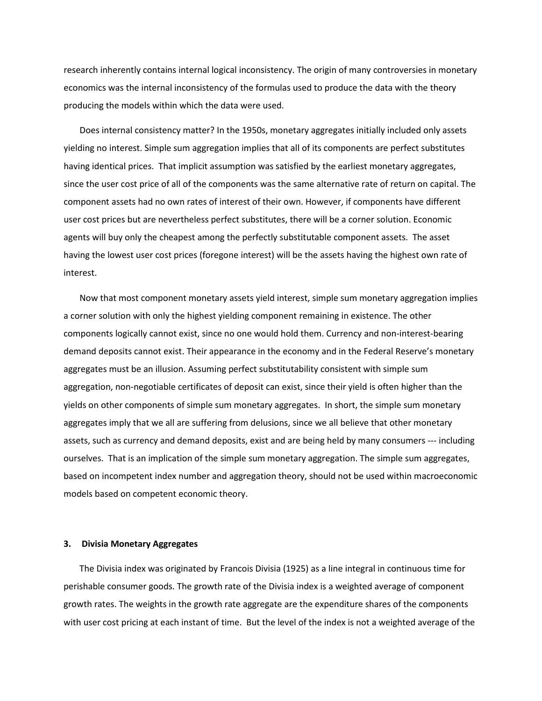research inherently contains internal logical inconsistency. The origin of many controversies in monetary economics was the internal inconsistency of the formulas used to produce the data with the theory producing the models within which the data were used.

Does internal consistency matter? In the 1950s, monetary aggregates initially included only assets yielding no interest. Simple sum aggregation implies that all of its components are perfect substitutes having identical prices. That implicit assumption was satisfied by the earliest monetary aggregates, since the user cost price of all of the components was the same alternative rate of return on capital. The component assets had no own rates of interest of their own. However, if components have different user cost prices but are nevertheless perfect substitutes, there will be a corner solution. Economic agents will buy only the cheapest among the perfectly substitutable component assets. The asset having the lowest user cost prices (foregone interest) will be the assets having the highest own rate of interest.

Now that most component monetary assets yield interest, simple sum monetary aggregation implies a corner solution with only the highest yielding component remaining in existence. The other components logically cannot exist, since no one would hold them. Currency and non-interest-bearing demand deposits cannot exist. Their appearance in the economy and in the Federal Reserve's monetary aggregates must be an illusion. Assuming perfect substitutability consistent with simple sum aggregation, non-negotiable certificates of deposit can exist, since their yield is often higher than the yields on other components of simple sum monetary aggregates. In short, the simple sum monetary aggregates imply that we all are suffering from delusions, since we all believe that other monetary assets, such as currency and demand deposits, exist and are being held by many consumers --- including ourselves. That is an implication of the simple sum monetary aggregation. The simple sum aggregates, based on incompetent index number and aggregation theory, should not be used within macroeconomic models based on competent economic theory.

#### **3. Divisia Monetary Aggregates**

The Divisia index was originated by Francois Divisia (1925) as a line integral in continuous time for perishable consumer goods. The growth rate of the Divisia index is a weighted average of component growth rates. The weights in the growth rate aggregate are the expenditure shares of the components with user cost pricing at each instant of time. But the level of the index is not a weighted average of the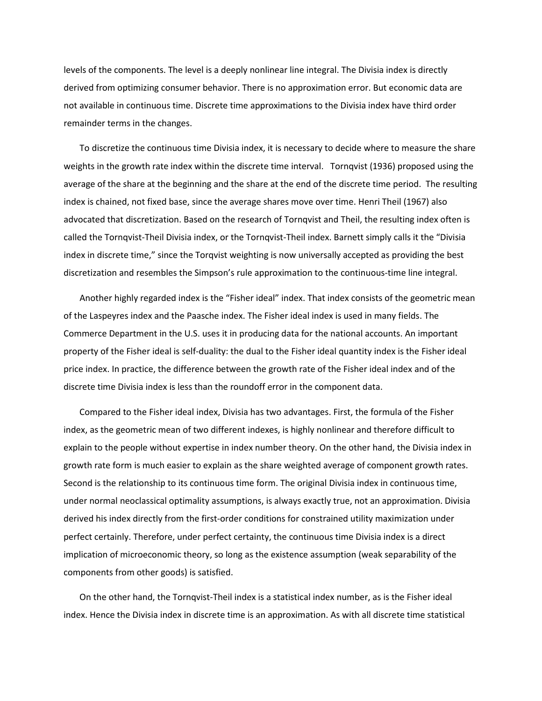levels of the components. The level is a deeply nonlinear line integral. The Divisia index is directly derived from optimizing consumer behavior. There is no approximation error. But economic data are not available in continuous time. Discrete time approximations to the Divisia index have third order remainder terms in the changes.

To discretize the continuous time Divisia index, it is necessary to decide where to measure the share weights in the growth rate index within the discrete time interval. Tornqvist (1936) proposed using the average of the share at the beginning and the share at the end of the discrete time period. The resulting index is chained, not fixed base, since the average shares move over time. Henri Theil (1967) also advocated that discretization. Based on the research of Tornqvist and Theil, the resulting index often is called the Tornqvist-Theil Divisia index, or the Tornqvist-Theil index. Barnett simply calls it the "Divisia index in discrete time," since the Torqvist weighting is now universally accepted as providing the best discretization and resembles the Simpson's rule approximation to the continuous-time line integral.

Another highly regarded index is the "Fisher ideal" index. That index consists of the geometric mean of the Laspeyres index and the Paasche index. The Fisher ideal index is used in many fields. The Commerce Department in the U.S. uses it in producing data for the national accounts. An important property of the Fisher ideal is self-duality: the dual to the Fisher ideal quantity index is the Fisher ideal price index. In practice, the difference between the growth rate of the Fisher ideal index and of the discrete time Divisia index is less than the roundoff error in the component data.

Compared to the Fisher ideal index, Divisia has two advantages. First, the formula of the Fisher index, as the geometric mean of two different indexes, is highly nonlinear and therefore difficult to explain to the people without expertise in index number theory. On the other hand, the Divisia index in growth rate form is much easier to explain as the share weighted average of component growth rates. Second is the relationship to its continuous time form. The original Divisia index in continuous time, under normal neoclassical optimality assumptions, is always exactly true, not an approximation. Divisia derived his index directly from the first-order conditions for constrained utility maximization under perfect certainly. Therefore, under perfect certainty, the continuous time Divisia index is a direct implication of microeconomic theory, so long as the existence assumption (weak separability of the components from other goods) is satisfied.

On the other hand, the Tornqvist-Theil index is a statistical index number, as is the Fisher ideal index. Hence the Divisia index in discrete time is an approximation. As with all discrete time statistical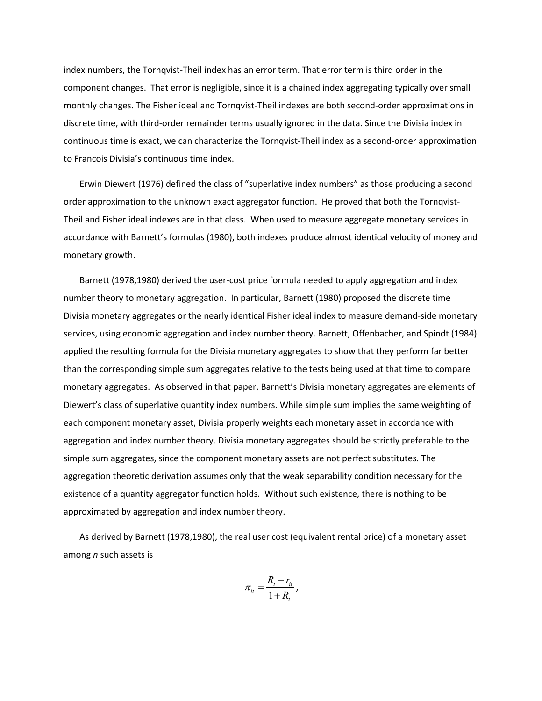index numbers, the Tornqvist-Theil index has an error term. That error term is third order in the component changes. That error is negligible, since it is a chained index aggregating typically over small monthly changes. The Fisher ideal and Tornqvist-Theil indexes are both second-order approximations in discrete time, with third-order remainder terms usually ignored in the data. Since the Divisia index in continuous time is exact, we can characterize the Tornqvist-Theil index as a second-order approximation to Francois Divisia's continuous time index.

Erwin Diewert (1976) defined the class of "superlative index numbers" as those producing a second order approximation to the unknown exact aggregator function. He proved that both the Tornqvist-Theil and Fisher ideal indexes are in that class. When used to measure aggregate monetary services in accordance with Barnett's formulas (1980), both indexes produce almost identical velocity of money and monetary growth.

Barnett (1978,1980) derived the user-cost price formula needed to apply aggregation and index number theory to monetary aggregation. In particular, Barnett (1980) proposed the discrete time Divisia monetary aggregates or the nearly identical Fisher ideal index to measure demand-side monetary services, using economic aggregation and index number theory. Barnett, Offenbacher, and Spindt (1984) applied the resulting formula for the Divisia monetary aggregates to show that they perform far better than the corresponding simple sum aggregates relative to the tests being used at that time to compare monetary aggregates. As observed in that paper, Barnett's Divisia monetary aggregates are elements of Diewert's class of superlative quantity index numbers. While simple sum implies the same weighting of each component monetary asset, Divisia properly weights each monetary asset in accordance with aggregation and index number theory. Divisia monetary aggregates should be strictly preferable to the simple sum aggregates, since the component monetary assets are not perfect substitutes. The aggregation theoretic derivation assumes only that the weak separability condition necessary for the existence of a quantity aggregator function holds. Without such existence, there is nothing to be approximated by aggregation and index number theory.

As derived by Barnett (1978,1980), the real user cost (equivalent rental price) of a monetary asset among *n* such assets is

$$
\pi_{it} = \frac{R_t - r_{it}}{1 + R_t},
$$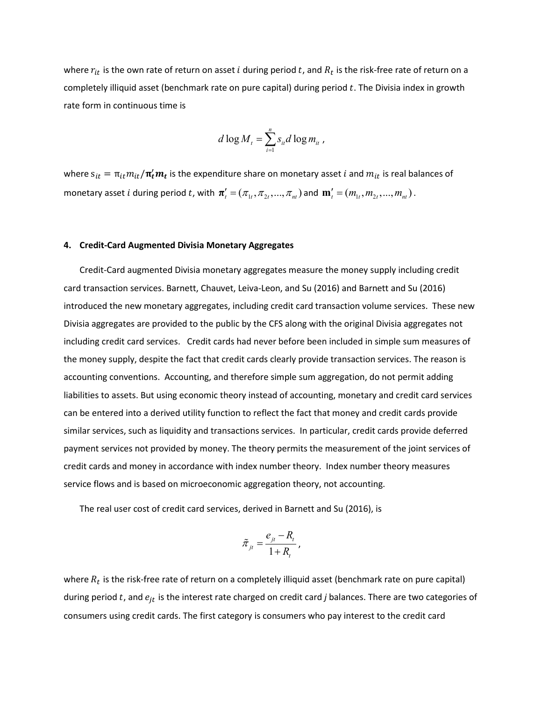where  $r_{it}$  is the own rate of return on asset  $i$  during period  $t$ , and  $R_t$  is the risk-free rate of return on a completely illiquid asset (benchmark rate on pure capital) during period  $t$ . The Divisia index in growth rate form in continuous time is

$$
d \log M_t = \sum_{i=1}^n s_{it} d \log m_{it}
$$

where  $\mathrm{s}_{it} = \pi_{it} m_{it}/\bm{\pi}'_t \bm{m_t}$  is the expenditure share on monetary asset  $i$  and  $m_{it}$  is real balances of monetary asset *i* during period *t*, with  $\boldsymbol{\pi}'_t = (\pi_{1t}, \pi_{2t}, ..., \pi_{nt})$  and  $\mathbf{m}'_t = (m_{1t}, m_{2t}, ..., m_{nt})$ .

## **4. Credit-Card Augmented Divisia Monetary Aggregates**

Credit-Card augmented Divisia monetary aggregates measure the money supply including credit card transaction services. Barnett, Chauvet, Leiva-Leon, and Su (2016) and Barnett and Su (2016) introduced the new monetary aggregates, including credit card transaction volume services. These new Divisia aggregates are provided to the public by the CFS along with the original Divisia aggregates not including credit card services. Credit cards had never before been included in simple sum measures of the money supply, despite the fact that credit cards clearly provide transaction services. The reason is accounting conventions. Accounting, and therefore simple sum aggregation, do not permit adding liabilities to assets. But using economic theory instead of accounting, monetary and credit card services can be entered into a derived utility function to reflect the fact that money and credit cards provide similar services, such as liquidity and transactions services. In particular, credit cards provide deferred payment services not provided by money. The theory permits the measurement of the joint services of credit cards and money in accordance with index number theory. Index number theory measures service flows and is based on microeconomic aggregation theory, not accounting.

The real user cost of credit card services, derived in Barnett and Su (2016), is

$$
\tilde{\pi}_{jt} = \frac{e_{jt} - R_t}{1 + R_t},
$$

where  $R_t$  is the risk-free rate of return on a completely illiquid asset (benchmark rate on pure capital) during period t, and  $e_{it}$  is the interest rate charged on credit card *j* balances. There are two categories of consumers using credit cards. The first category is consumers who pay interest to the credit card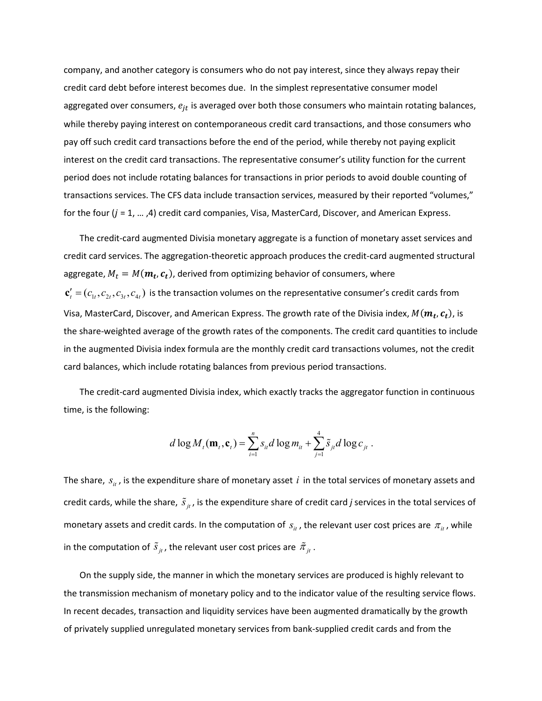company, and another category is consumers who do not pay interest, since they always repay their credit card debt before interest becomes due. In the simplest representative consumer model aggregated over consumers,  $e_{it}$  is averaged over both those consumers who maintain rotating balances, while thereby paying interest on contemporaneous credit card transactions, and those consumers who pay off such credit card transactions before the end of the period, while thereby not paying explicit interest on the credit card transactions. The representative consumer's utility function for the current period does not include rotating balances for transactions in prior periods to avoid double counting of transactions services. The CFS data include transaction services, measured by their reported "volumes," for the four  $(j = 1, ..., A)$  credit card companies, Visa, MasterCard, Discover, and American Express.

The credit-card augmented Divisia monetary aggregate is a function of monetary asset services and credit card services. The aggregation-theoretic approach produces the credit-card augmented structural aggregate,  $M_t = M(\boldsymbol{m_t}, \boldsymbol{c_t})$ , derived from optimizing behavior of consumers, where  $c'_i = (c_{i_1}, c_{i_2}, c_{i_3}, c_{i_4})$  is the transaction volumes on the representative consumer's credit cards from Visa, MasterCard, Discover, and American Express. The growth rate of the Divisia index,  $M(\bm{m_t},\bm{c_t})$ , is the share-weighted average of the growth rates of the components. The credit card quantities to include in the augmented Divisia index formula are the monthly credit card transactions volumes, not the credit card balances, which include rotating balances from previous period transactions.

The credit-card augmented Divisia index, which exactly tracks the aggregator function in continuous time, is the following:

$$
d \log M_t(\mathbf{m}_t, \mathbf{c}_t) = \sum_{i=1}^n s_{it} d \log m_{it} + \sum_{j=1}^4 \tilde{s}_{jt} d \log c_{jt}.
$$

The share,  $s_{it}$ , is the expenditure share of monetary asset  $i$  in the total services of monetary assets and credit cards, while the share,  $\tilde{s}_{jt}$ , is the expenditure share of credit card *j* services in the total services of monetary assets and credit cards. In the computation of  $s_{it}$ , the relevant user cost prices are  $\pi_{it}$ , while in the computation of  $\tilde{s}_{jt}$ , the relevant user cost prices are  $\tilde{\pi}_{jt}$ .

On the supply side, the manner in which the monetary services are produced is highly relevant to the transmission mechanism of monetary policy and to the indicator value of the resulting service flows. In recent decades, transaction and liquidity services have been augmented dramatically by the growth of privately supplied unregulated monetary services from bank-supplied credit cards and from the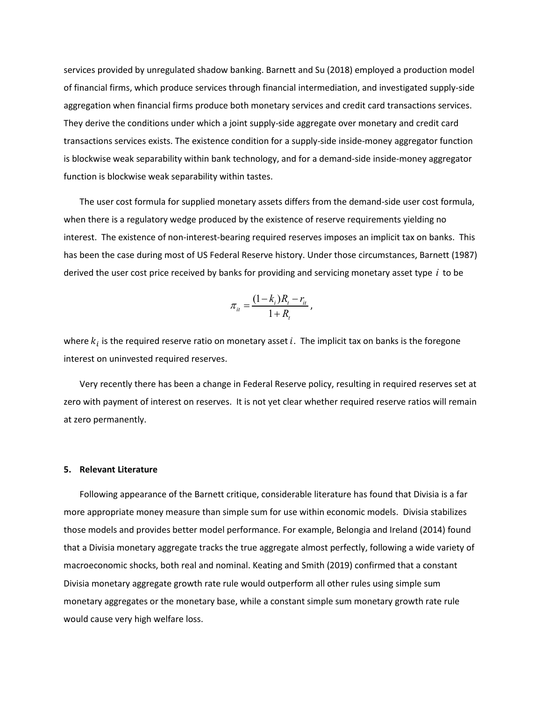services provided by unregulated shadow banking. Barnett and Su (2018) employed a production model of financial firms, which produce services through financial intermediation, and investigated supply-side aggregation when financial firms produce both monetary services and credit card transactions services. They derive the conditions under which a joint supply-side aggregate over monetary and credit card transactions services exists. The existence condition for a supply-side inside-money aggregator function is blockwise weak separability within bank technology, and for a demand-side inside-money aggregator function is blockwise weak separability within tastes.

The user cost formula for supplied monetary assets differs from the demand-side user cost formula, when there is a regulatory wedge produced by the existence of reserve requirements yielding no interest. The existence of non-interest-bearing required reserves imposes an implicit tax on banks. This has been the case during most of US Federal Reserve history. Under those circumstances, Barnett (1987) derived the user cost price received by banks for providing and servicing monetary asset type *i* to be

$$
\pi_{it} = \frac{(1 - k_i)R_t - r_{it}}{1 + R_t},
$$

where  $k_i$  is the required reserve ratio on monetary asset  $i$ . The implicit tax on banks is the foregone interest on uninvested required reserves.

Very recently there has been a change in Federal Reserve policy, resulting in required reserves set at zero with payment of interest on reserves. It is not yet clear whether required reserve ratios will remain at zero permanently.

#### **5. Relevant Literature**

Following appearance of the Barnett critique, considerable literature has found that Divisia is a far more appropriate money measure than simple sum for use within economic models. Divisia stabilizes those models and provides better model performance. For example, Belongia and Ireland (2014) found that a Divisia monetary aggregate tracks the true aggregate almost perfectly, following a wide variety of macroeconomic shocks, both real and nominal. Keating and Smith (2019) confirmed that a constant Divisia monetary aggregate growth rate rule would outperform all other rules using simple sum monetary aggregates or the monetary base, while a constant simple sum monetary growth rate rule would cause very high welfare loss.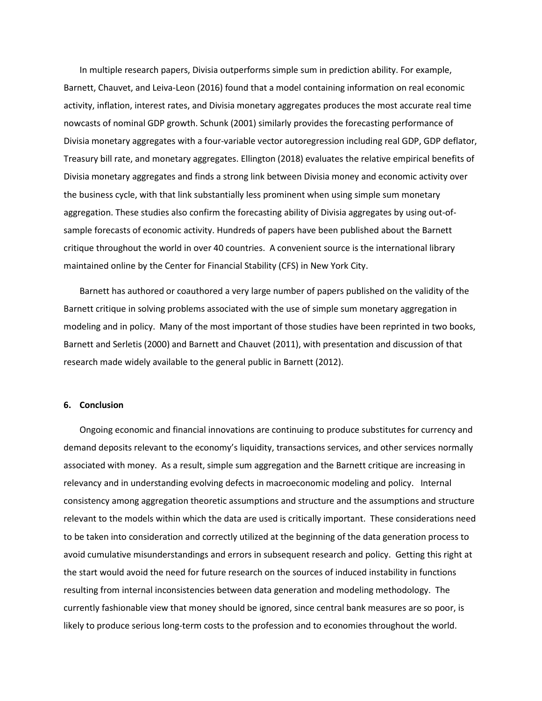In multiple research papers, Divisia outperforms simple sum in prediction ability. For example, Barnett, Chauvet, and Leiva-Leon (2016) found that a model containing information on real economic activity, inflation, interest rates, and Divisia monetary aggregates produces the most accurate real time nowcasts of nominal GDP growth. Schunk (2001) similarly provides the forecasting performance of Divisia monetary aggregates with a four-variable vector autoregression including real GDP, GDP deflator, Treasury bill rate, and monetary aggregates. Ellington (2018) evaluates the relative empirical benefits of Divisia monetary aggregates and finds a strong link between Divisia money and economic activity over the business cycle, with that link substantially less prominent when using simple sum monetary aggregation. These studies also confirm the forecasting ability of Divisia aggregates by using out-ofsample forecasts of economic activity. Hundreds of papers have been published about the Barnett critique throughout the world in over 40 countries. A convenient source is the international library maintained online by the Center for Financial Stability (CFS) in New York City.

Barnett has authored or coauthored a very large number of papers published on the validity of the Barnett critique in solving problems associated with the use of simple sum monetary aggregation in modeling and in policy. Many of the most important of those studies have been reprinted in two books, Barnett and Serletis (2000) and Barnett and Chauvet (2011), with presentation and discussion of that research made widely available to the general public in Barnett (2012).

## **6. Conclusion**

Ongoing economic and financial innovations are continuing to produce substitutes for currency and demand deposits relevant to the economy's liquidity, transactions services, and other services normally associated with money. As a result, simple sum aggregation and the Barnett critique are increasing in relevancy and in understanding evolving defects in macroeconomic modeling and policy. Internal consistency among aggregation theoretic assumptions and structure and the assumptions and structure relevant to the models within which the data are used is critically important. These considerations need to be taken into consideration and correctly utilized at the beginning of the data generation process to avoid cumulative misunderstandings and errors in subsequent research and policy. Getting this right at the start would avoid the need for future research on the sources of induced instability in functions resulting from internal inconsistencies between data generation and modeling methodology. The currently fashionable view that money should be ignored, since central bank measures are so poor, is likely to produce serious long-term costs to the profession and to economies throughout the world.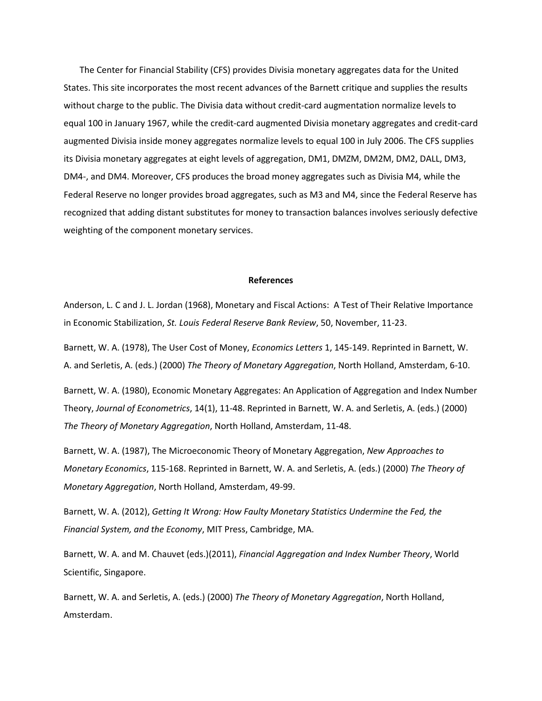The Center for Financial Stability (CFS) provides Divisia monetary aggregates data for the United States. This site incorporates the most recent advances of the Barnett critique and supplies the results without charge to the public. The Divisia data without credit-card augmentation normalize levels to equal 100 in January 1967, while the credit-card augmented Divisia monetary aggregates and credit-card augmented Divisia inside money aggregates normalize levels to equal 100 in July 2006. The CFS supplies its Divisia monetary aggregates at eight levels of aggregation, DM1, DM2M, DM2M, DM2, DALL, DM3, DM4-, and DM4. Moreover, CFS produces the broad money aggregates such as Divisia M4, while the Federal Reserve no longer provides broad aggregates, such as M3 and M4, since the Federal Reserve has recognized that adding distant substitutes for money to transaction balances involves seriously defective weighting of the component monetary services.

#### **References**

Anderson, L. C and J. L. Jordan (1968), Monetary and Fiscal Actions: A Test of Their Relative Importance in Economic Stabilization, *St. Louis Federal Reserve Bank Review*, 50, November, 11-23.

Barnett, W. A. (1978), The User Cost of Money, *Economics Letters* 1, 145-149. Reprinted in Barnett, W. A. and Serletis, A. (eds.) (2000) *The Theory of Monetary Aggregation*, North Holland, Amsterdam, 6-10.

Barnett, W. A. (1980), Economic Monetary Aggregates: An Application of Aggregation and Index Number Theory, *Journal of Econometrics*, 14(1), 11-48. Reprinted in Barnett, W. A. and Serletis, A. (eds.) (2000) *The Theory of Monetary Aggregation*, North Holland, Amsterdam, 11-48.

Barnett, W. A. (1987), The Microeconomic Theory of Monetary Aggregation, *New Approaches to Monetary Economics*, 115-168. Reprinted in Barnett, W. A. and Serletis, A. (eds.) (2000) *The Theory of Monetary Aggregation*, North Holland, Amsterdam, 49-99.

Barnett, W. A. (2012), *Getting It Wrong: How Faulty Monetary Statistics Undermine the Fed, the Financial System, and the Economy*, MIT Press, Cambridge, MA.

Barnett, W. A. and M. Chauvet (eds.)(2011), *Financial Aggregation and Index Number Theory*, World Scientific, Singapore.

Barnett, W. A. and Serletis, A. (eds.) (2000) *The Theory of Monetary Aggregation*, North Holland, Amsterdam.